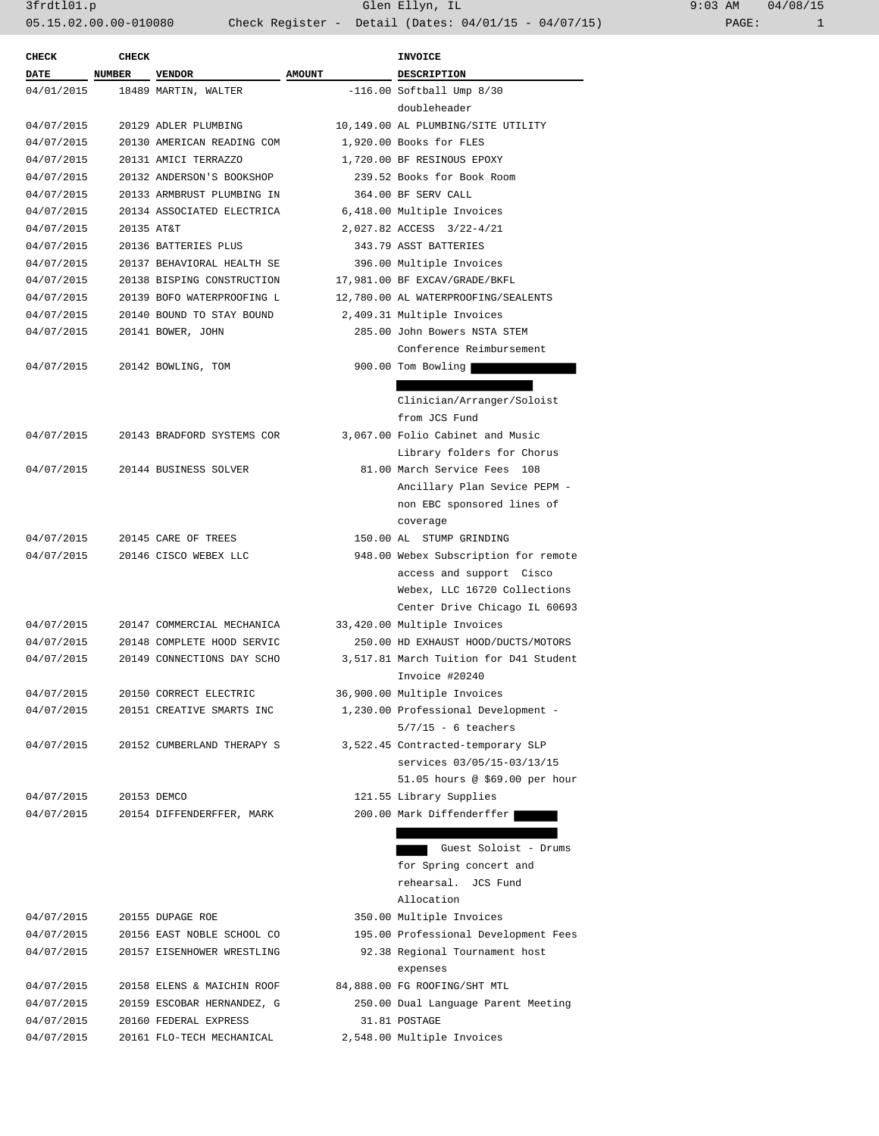3frdtl01.p Glen Ellyn, IL 9:03 AM 04/08/15 05.15.02.00.00-010080 Check Register - Detail (Dates: 04/01/15 - 04/07/15) PAGE: 1

| CHECK       | <b>CHECK</b> |                            |               | <b>INVOICE</b>                         |
|-------------|--------------|----------------------------|---------------|----------------------------------------|
| <b>DATE</b> | NUMBER       | <b>VENDOR</b>              | <b>AMOUNT</b> | DESCRIPTION                            |
| 04/01/2015  |              | 18489 MARTIN, WALTER       |               | $-116.00$ Softball Ump $8/30$          |
|             |              |                            |               | doubleheader                           |
| 04/07/2015  |              | 20129 ADLER PLUMBING       |               | 10,149.00 AL PLUMBING/SITE UTILITY     |
| 04/07/2015  |              | 20130 AMERICAN READING COM |               | 1,920.00 Books for FLES                |
| 04/07/2015  |              | 20131 AMICI TERRAZZO       |               | 1,720.00 BF RESINOUS EPOXY             |
| 04/07/2015  |              | 20132 ANDERSON'S BOOKSHOP  |               | 239.52 Books for Book Room             |
| 04/07/2015  |              | 20133 ARMBRUST PLUMBING IN |               | 364.00 BF SERV CALL                    |
| 04/07/2015  |              | 20134 ASSOCIATED ELECTRICA |               | 6,418.00 Multiple Invoices             |
| 04/07/2015  | 20135 AT&T   |                            |               | 2,027.82 ACCESS 3/22-4/21              |
| 04/07/2015  |              | 20136 BATTERIES PLUS       |               | 343.79 ASST BATTERIES                  |
| 04/07/2015  |              | 20137 BEHAVIORAL HEALTH SE |               | 396.00 Multiple Invoices               |
| 04/07/2015  |              | 20138 BISPING CONSTRUCTION |               | 17,981.00 BF EXCAV/GRADE/BKFL          |
| 04/07/2015  |              | 20139 BOFO WATERPROOFING L |               | 12,780.00 AL WATERPROOFING/SEALENTS    |
| 04/07/2015  |              | 20140 BOUND TO STAY BOUND  |               | 2,409.31 Multiple Invoices             |
| 04/07/2015  |              | 20141 BOWER, JOHN          |               | 285.00 John Bowers NSTA STEM           |
|             |              |                            |               | Conference Reimbursement               |
|             |              |                            |               |                                        |
| 04/07/2015  |              | 20142 BOWLING, TOM         |               | 900.00 Tom Bowling                     |
|             |              |                            |               |                                        |
|             |              |                            |               | Clinician/Arranger/Soloist             |
|             |              |                            |               | from JCS Fund                          |
| 04/07/2015  |              | 20143 BRADFORD SYSTEMS COR |               | 3,067.00 Folio Cabinet and Music       |
|             |              |                            |               | Library folders for Chorus             |
| 04/07/2015  |              | 20144 BUSINESS SOLVER      |               | 81.00 March Service Fees 108           |
|             |              |                            |               | Ancillary Plan Sevice PEPM -           |
|             |              |                            |               | non EBC sponsored lines of             |
|             |              |                            |               | coverage                               |
| 04/07/2015  |              | 20145 CARE OF TREES        |               | 150.00 AL STUMP GRINDING               |
| 04/07/2015  |              | 20146 CISCO WEBEX LLC      |               | 948.00 Webex Subscription for remote   |
|             |              |                            |               | access and support Cisco               |
|             |              |                            |               | Webex, LLC 16720 Collections           |
|             |              |                            |               | Center Drive Chicago IL 60693          |
| 04/07/2015  |              | 20147 COMMERCIAL MECHANICA |               | 33,420.00 Multiple Invoices            |
| 04/07/2015  |              | 20148 COMPLETE HOOD SERVIC |               | 250.00 HD EXHAUST HOOD/DUCTS/MOTORS    |
| 04/07/2015  |              | 20149 CONNECTIONS DAY SCHO |               | 3,517.81 March Tuition for D41 Student |
|             |              |                            |               | Invoice #20240                         |
| 04/07/2015  |              | 20150 CORRECT ELECTRIC     |               | 36,900.00 Multiple Invoices            |
| 04/07/2015  |              | 20151 CREATIVE SMARTS INC  |               | 1,230.00 Professional Development -    |
|             |              |                            |               | $5/7/15$ - 6 teachers                  |
| 04/07/2015  |              | 20152 CUMBERLAND THERAPY S |               | 3,522.45 Contracted-temporary SLP      |
|             |              |                            |               | services 03/05/15-03/13/15             |
|             |              |                            |               | 51.05 hours @ \$69.00 per hour         |
| 04/07/2015  |              | 20153 DEMCO                |               | 121.55 Library Supplies                |
| 04/07/2015  |              | 20154 DIFFENDERFFER, MARK  |               | 200.00 Mark Diffenderffer              |
|             |              |                            |               |                                        |
|             |              |                            |               | Guest Soloist - Drums                  |
|             |              |                            |               | for Spring concert and                 |
|             |              |                            |               | rehearsal. JCS Fund                    |
|             |              |                            |               | Allocation                             |
| 04/07/2015  |              | 20155 DUPAGE ROE           |               | 350.00 Multiple Invoices               |
| 04/07/2015  |              | 20156 EAST NOBLE SCHOOL CO |               | 195.00 Professional Development Fees   |
| 04/07/2015  |              | 20157 EISENHOWER WRESTLING |               | 92.38 Regional Tournament host         |
|             |              |                            |               | expenses                               |
| 04/07/2015  |              | 20158 ELENS & MAICHIN ROOF |               | 84,888.00 FG ROOFING/SHT MTL           |
|             |              |                            |               |                                        |
| 04/07/2015  |              | 20159 ESCOBAR HERNANDEZ, G |               | 250.00 Dual Language Parent Meeting    |
| 04/07/2015  |              | 20160 FEDERAL EXPRESS      |               | 31.81 POSTAGE                          |
| 04/07/2015  |              | 20161 FLO-TECH MECHANICAL  |               | 2,548.00 Multiple Invoices             |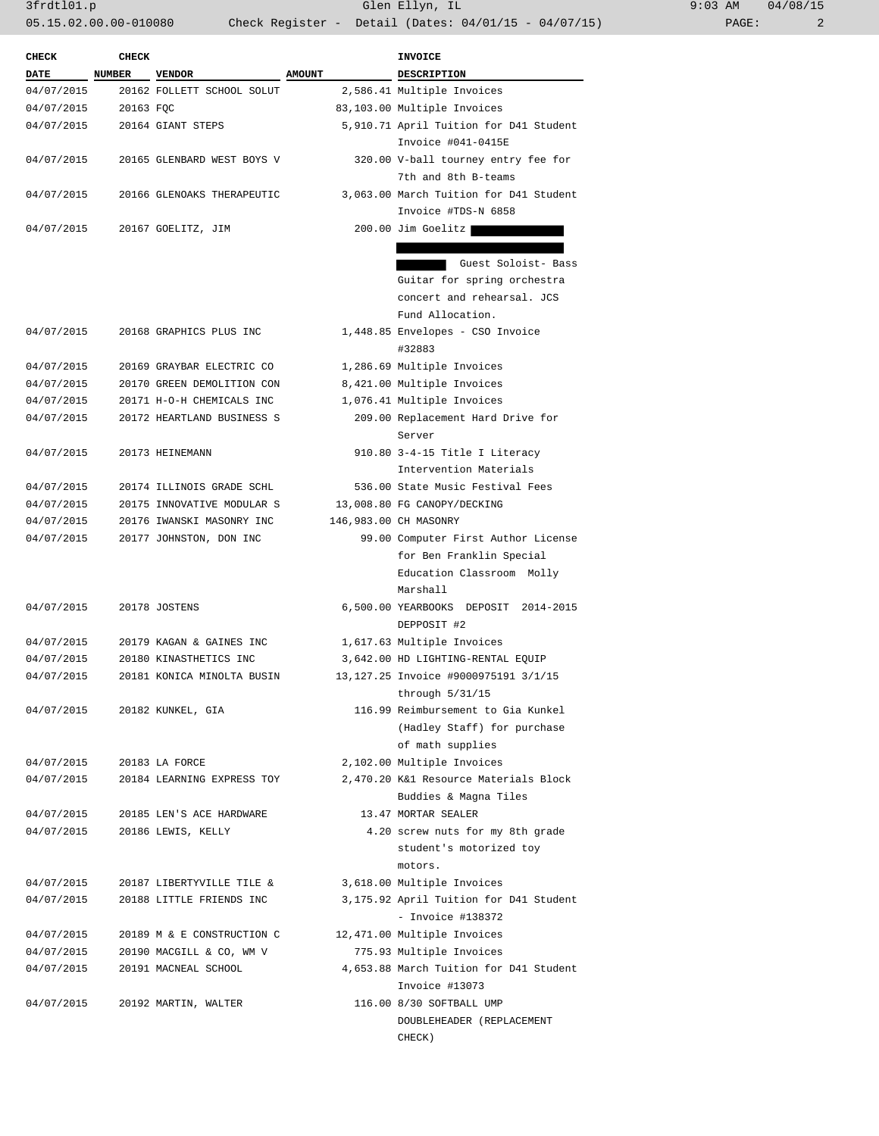3frdtl01.p Glen Ellyn, IL 9:03 AM 04/08/15 05.15.02.00.00-010080 Check Register - Detail (Dates: 04/01/15 - 04/07/15) PAGE: 2

| <b>CHECK</b> | <b>CHECK</b> |                            |               | <b>INVOICE</b>                                                      |
|--------------|--------------|----------------------------|---------------|---------------------------------------------------------------------|
| <b>DATE</b>  | NUMBER       | <b>VENDOR</b>              | <b>AMOUNT</b> | <b>DESCRIPTION</b>                                                  |
| 04/07/2015   |              | 20162 FOLLETT SCHOOL SOLUT |               | 2,586.41 Multiple Invoices                                          |
| 04/07/2015   | 20163 FQC    |                            |               | 83,103.00 Multiple Invoices                                         |
| 04/07/2015   |              | 20164 GIANT STEPS          |               | 5,910.71 April Tuition for D41 Student                              |
|              |              |                            |               | Invoice #041-0415E                                                  |
| 04/07/2015   |              | 20165 GLENBARD WEST BOYS V |               | 320.00 V-ball tourney entry fee for                                 |
|              |              |                            |               | 7th and 8th B-teams                                                 |
| 04/07/2015   |              | 20166 GLENOAKS THERAPEUTIC |               | 3,063.00 March Tuition for D41 Student                              |
|              |              |                            |               | Invoice #TDS-N 6858                                                 |
| 04/07/2015   |              | 20167 GOELITZ, JIM         |               | 200.00 Jim Goelitz                                                  |
|              |              |                            |               |                                                                     |
|              |              |                            |               | Guest Soloist- Bass                                                 |
|              |              |                            |               | Guitar for spring orchestra                                         |
|              |              |                            |               | concert and rehearsal. JCS                                          |
|              |              |                            |               | Fund Allocation.                                                    |
| 04/07/2015   |              | 20168 GRAPHICS PLUS INC    |               | 1,448.85 Envelopes - CSO Invoice                                    |
|              |              |                            |               | #32883                                                              |
| 04/07/2015   |              | 20169 GRAYBAR ELECTRIC CO  |               | 1,286.69 Multiple Invoices                                          |
| 04/07/2015   |              | 20170 GREEN DEMOLITION CON |               | 8,421.00 Multiple Invoices                                          |
| 04/07/2015   |              | 20171 H-O-H CHEMICALS INC  |               | 1,076.41 Multiple Invoices                                          |
| 04/07/2015   |              | 20172 HEARTLAND BUSINESS S |               | 209.00 Replacement Hard Drive for                                   |
|              |              |                            |               | Server                                                              |
| 04/07/2015   |              | 20173 HEINEMANN            |               | 910.80 3-4-15 Title I Literacy                                      |
|              |              |                            |               | Intervention Materials                                              |
| 04/07/2015   |              | 20174 ILLINOIS GRADE SCHL  |               | 536.00 State Music Festival Fees                                    |
| 04/07/2015   |              | 20175 INNOVATIVE MODULAR S |               | 13,008.80 FG CANOPY/DECKING                                         |
| 04/07/2015   |              | 20176 IWANSKI MASONRY INC  |               | 146,983.00 CH MASONRY                                               |
| 04/07/2015   |              | 20177 JOHNSTON, DON INC    |               | 99.00 Computer First Author License                                 |
|              |              |                            |               | for Ben Franklin Special                                            |
|              |              |                            |               | Education Classroom Molly                                           |
|              |              |                            |               | Marshall                                                            |
| 04/07/2015   |              | 20178 JOSTENS              |               | 6,500.00 YEARBOOKS DEPOSIT 2014-2015                                |
|              |              |                            |               | DEPPOSIT #2                                                         |
| 04/07/2015   |              | 20179 KAGAN & GAINES INC   |               | 1,617.63 Multiple Invoices                                          |
| 04/07/2015   |              | 20180 KINASTHETICS INC     |               | 3,642.00 HD LIGHTING-RENTAL EQUIP                                   |
| 04/07/2015   |              | 20181 KONICA MINOLTA BUSIN |               | 13, 127.25 Invoice #9000975191 3/1/15                               |
|              |              |                            |               |                                                                     |
| 04/07/2015   |              |                            |               | through $5/31/15$<br>116.99 Reimbursement to Gia Kunkel             |
|              |              | 20182 KUNKEL, GIA          |               |                                                                     |
|              |              |                            |               | (Hadley Staff) for purchase                                         |
|              |              |                            |               | of math supplies                                                    |
| 04/07/2015   |              | 20183 LA FORCE             |               | 2,102.00 Multiple Invoices<br>2,470.20 K&1 Resource Materials Block |
| 04/07/2015   |              | 20184 LEARNING EXPRESS TOY |               |                                                                     |
|              |              |                            |               | Buddies & Magna Tiles                                               |
| 04/07/2015   |              | 20185 LEN'S ACE HARDWARE   |               | 13.47 MORTAR SEALER                                                 |
| 04/07/2015   |              | 20186 LEWIS, KELLY         |               | 4.20 screw nuts for my 8th grade                                    |
|              |              |                            |               | student's motorized toy                                             |
|              |              |                            |               | motors.                                                             |
| 04/07/2015   |              | 20187 LIBERTYVILLE TILE &  |               | 3,618.00 Multiple Invoices                                          |
| 04/07/2015   |              | 20188 LITTLE FRIENDS INC   |               | 3,175.92 April Tuition for D41 Student                              |
|              |              |                            |               | $-$ Invoice #138372                                                 |
| 04/07/2015   |              | 20189 M & E CONSTRUCTION C |               | 12,471.00 Multiple Invoices                                         |
| 04/07/2015   |              | 20190 MACGILL & CO, WM V   |               | 775.93 Multiple Invoices                                            |
| 04/07/2015   |              | 20191 MACNEAL SCHOOL       |               | 4,653.88 March Tuition for D41 Student                              |
|              |              |                            |               | Invoice #13073                                                      |
| 04/07/2015   |              | 20192 MARTIN, WALTER       |               | 116.00 8/30 SOFTBALL UMP                                            |
|              |              |                            |               | DOUBLEHEADER (REPLACEMENT                                           |
|              |              |                            |               | CHECK)                                                              |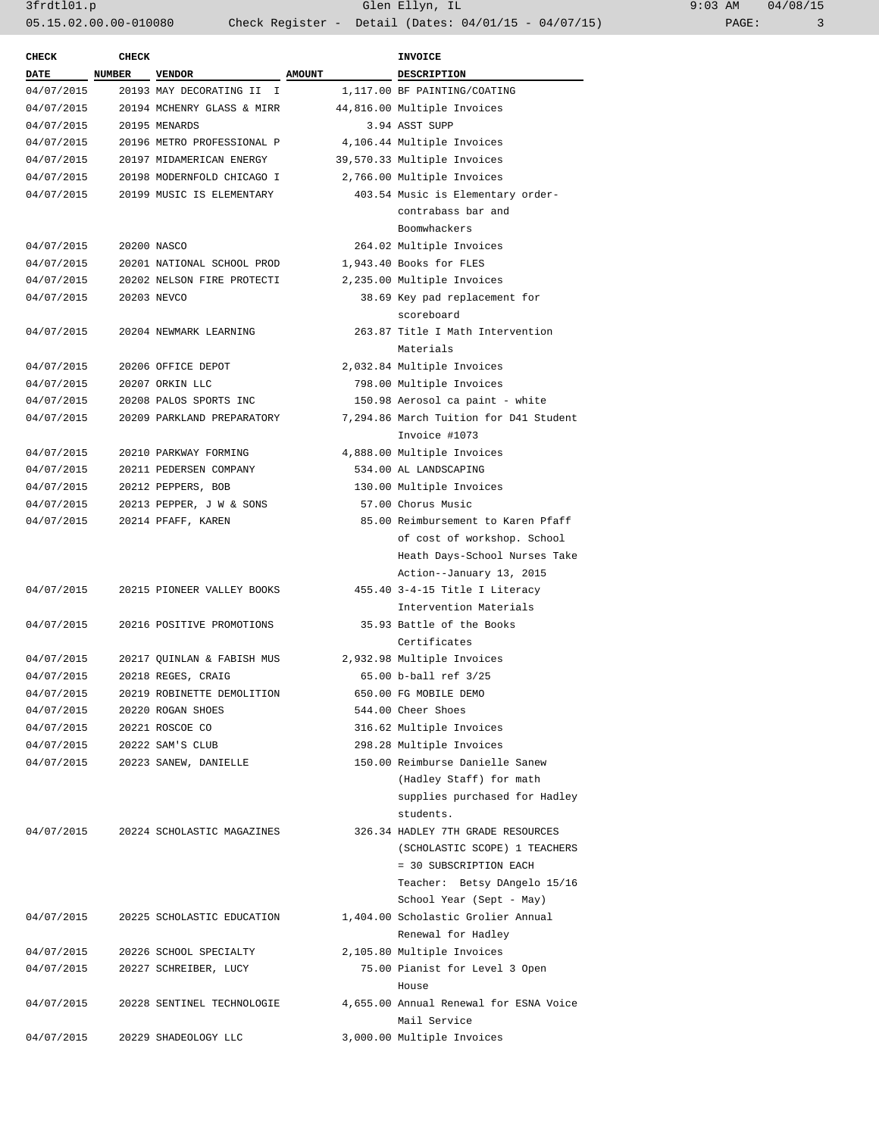| <b>CHECK</b>               | <b>CHECK</b>  |                                       |               | <b>INVOICE</b>                         |
|----------------------------|---------------|---------------------------------------|---------------|----------------------------------------|
| <b>DATE</b>                | NUMBER        | <b>VENDOR</b>                         | <b>AMOUNT</b> | DESCRIPTION                            |
| 04/07/2015                 |               | 20193 MAY DECORATING II I             |               | 1,117.00 BF PAINTING/COATING           |
| 04/07/2015                 |               | 20194 MCHENRY GLASS & MIRR            |               | 44,816.00 Multiple Invoices            |
| 04/07/2015                 | 20195 MENARDS |                                       |               | 3.94 ASST SUPP                         |
| 04/07/2015                 |               | 20196 METRO PROFESSIONAL P            |               | 4,106.44 Multiple Invoices             |
| 04/07/2015                 |               | 20197 MIDAMERICAN ENERGY              |               | 39,570.33 Multiple Invoices            |
|                            |               | 04/07/2015 20198 MODERNFOLD CHICAGO I |               | 2,766.00 Multiple Invoices             |
|                            |               | 04/07/2015 20199 MUSIC IS ELEMENTARY  |               | 403.54 Music is Elementary order-      |
|                            |               |                                       |               | contrabass bar and                     |
|                            |               |                                       |               | Boomwhackers                           |
| 04/07/2015                 |               | 20200 NASCO                           |               | 264.02 Multiple Invoices               |
| 04/07/2015                 |               | 20201 NATIONAL SCHOOL PROD            |               | 1,943.40 Books for FLES                |
| 04/07/2015                 |               | 20202 NELSON FIRE PROTECTI            |               | 2,235.00 Multiple Invoices             |
| 04/07/2015 20203 NEVCO     |               |                                       |               | 38.69 Key pad replacement for          |
|                            |               |                                       |               | scoreboard                             |
| 04/07/2015                 |               | 20204 NEWMARK LEARNING                |               | 263.87 Title I Math Intervention       |
|                            |               |                                       |               | Materials                              |
| 04/07/2015                 |               | 20206 OFFICE DEPOT                    |               | 2,032.84 Multiple Invoices             |
| 04/07/2015                 |               | 20207 ORKIN LLC                       |               | 798.00 Multiple Invoices               |
| 04/07/2015                 |               | 20208 PALOS SPORTS INC                |               | 150.98 Aerosol ca paint - white        |
| 04/07/2015                 |               | 20209 PARKLAND PREPARATORY            |               | 7,294.86 March Tuition for D41 Student |
|                            |               |                                       |               | Invoice #1073                          |
| 04/07/2015                 |               | 20210 PARKWAY FORMING                 |               | 4,888.00 Multiple Invoices             |
| 04/07/2015                 |               | 20211 PEDERSEN COMPANY                |               | 534.00 AL LANDSCAPING                  |
| 04/07/2015                 |               | 20212 PEPPERS, BOB                    |               | 130.00 Multiple Invoices               |
|                            |               | 04/07/2015 20213 PEPPER, J W & SONS   |               | 57.00 Chorus Music                     |
|                            |               | 04/07/2015 20214 PFAFF, KAREN         |               | 85.00 Reimbursement to Karen Pfaff     |
|                            |               |                                       |               | of cost of workshop. School            |
|                            |               |                                       |               | Heath Days-School Nurses Take          |
|                            |               |                                       |               | Action--January 13, 2015               |
|                            |               | 04/07/2015 20215 PIONEER VALLEY BOOKS |               | 455.40 3-4-15 Title I Literacy         |
|                            |               |                                       |               | Intervention Materials                 |
| 04/07/2015                 |               | 20216 POSITIVE PROMOTIONS             |               | 35.93 Battle of the Books              |
|                            |               |                                       |               | Certificates                           |
| 04/07/2015                 |               | 20217 QUINLAN & FABISH MUS            |               | 2,932.98 Multiple Invoices             |
| 04/07/2015                 |               | 20218 REGES, CRAIG                    |               | 65.00 b-ball ref 3/25                  |
| 04/07/2015                 |               | 20219 ROBINETTE DEMOLITION            |               | 650.00 FG MOBILE DEMO                  |
| 04/07/2015                 |               | 20220 ROGAN SHOES                     |               | 544.00 Cheer Shoes                     |
| 04/07/2015 20221 ROSCOE CO |               |                                       |               | 316.62 Multiple Invoices               |
|                            |               | 04/07/2015 20222 SAM'S CLUB           |               | 298.28 Multiple Invoices               |
|                            |               | 04/07/2015 20223 SANEW, DANIELLE      |               | 150.00 Reimburse Danielle Sanew        |
|                            |               |                                       |               | (Hadley Staff) for math                |
|                            |               |                                       |               | supplies purchased for Hadley          |
|                            |               |                                       |               | students.                              |
| 04/07/2015                 |               | 20224 SCHOLASTIC MAGAZINES            |               | 326.34 HADLEY 7TH GRADE RESOURCES      |
|                            |               |                                       |               | (SCHOLASTIC SCOPE) 1 TEACHERS          |
|                            |               |                                       |               | = 30 SUBSCRIPTION EACH                 |
|                            |               |                                       |               | Teacher: Betsy DAngelo 15/16           |
|                            |               |                                       |               | School Year (Sept - May)               |
| 04/07/2015                 |               | 20225 SCHOLASTIC EDUCATION            |               | 1,404.00 Scholastic Grolier Annual     |
|                            |               |                                       |               | Renewal for Hadley                     |
| 04/07/2015                 |               | 20226 SCHOOL SPECIALTY                |               | 2,105.80 Multiple Invoices             |
| 04/07/2015                 |               | 20227 SCHREIBER, LUCY                 |               | 75.00 Pianist for Level 3 Open         |
|                            |               |                                       |               | House                                  |
| 04/07/2015                 |               | 20228 SENTINEL TECHNOLOGIE            |               | 4,655.00 Annual Renewal for ESNA Voice |
|                            |               |                                       |               | Mail Service                           |
| 04/07/2015                 |               | 20229 SHADEOLOGY LLC                  |               | 3,000.00 Multiple Invoices             |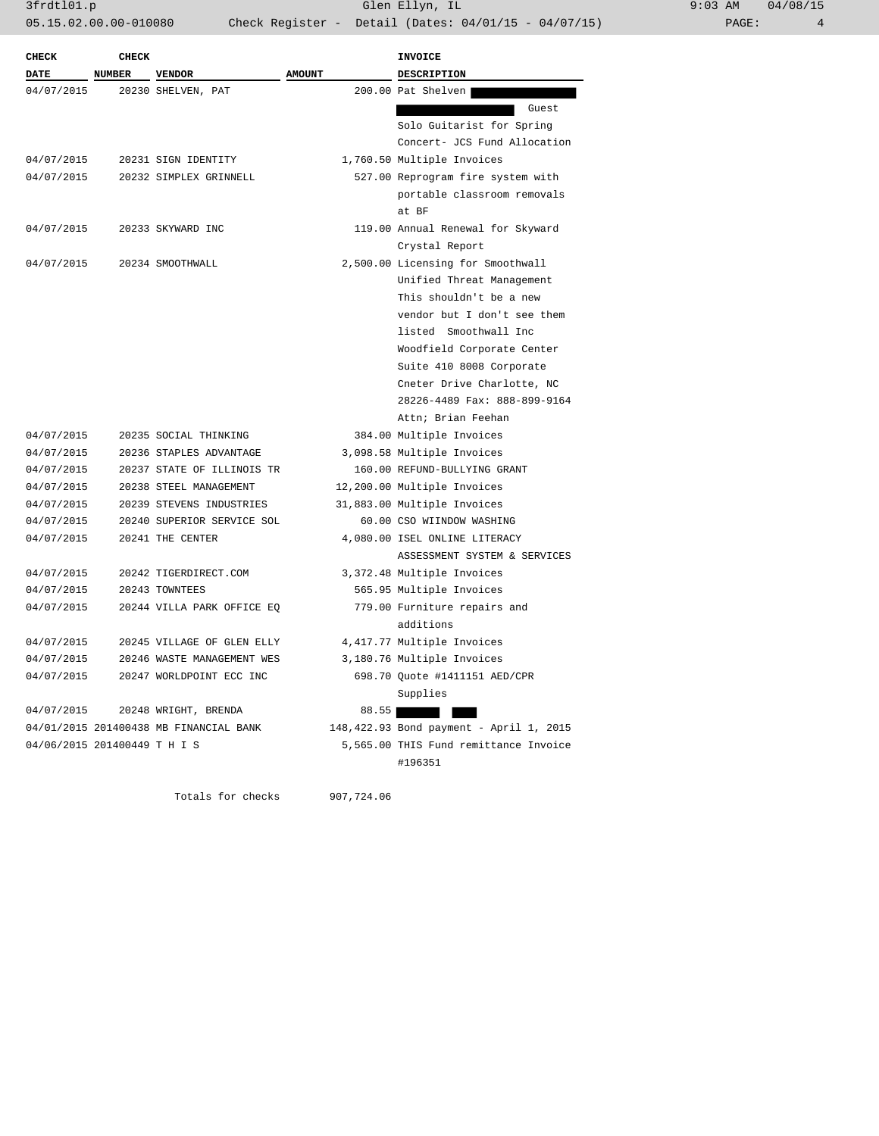| 9:03 AM |       | 04/08/15 |
|---------|-------|----------|
|         | PAGE: | 4        |

| <b>CHECK</b>                 | <b>CHECK</b> |                                        |               | <b>INVOICE</b>                          |
|------------------------------|--------------|----------------------------------------|---------------|-----------------------------------------|
| <b>DATE</b>                  | NUMBER       | <b>VENDOR</b>                          | <b>AMOUNT</b> | <b>DESCRIPTION</b>                      |
| 04/07/2015                   |              | 20230 SHELVEN, PAT                     |               | 200.00 Pat Shelven                      |
|                              |              |                                        |               | Guest                                   |
|                              |              |                                        |               | Solo Guitarist for Spring               |
|                              |              |                                        |               | Concert- JCS Fund Allocation            |
| 04/07/2015                   |              | 20231 SIGN IDENTITY                    |               | 1,760.50 Multiple Invoices              |
| 04/07/2015                   |              | 20232 SIMPLEX GRINNELL                 |               | 527.00 Reprogram fire system with       |
|                              |              |                                        |               | portable classroom removals             |
|                              |              |                                        |               | at BF                                   |
| 04/07/2015                   |              | 20233 SKYWARD INC                      |               | 119.00 Annual Renewal for Skyward       |
|                              |              |                                        |               | Crystal Report                          |
| 04/07/2015                   |              | 20234 SMOOTHWALL                       |               | 2,500.00 Licensing for Smoothwall       |
|                              |              |                                        |               | Unified Threat Management               |
|                              |              |                                        |               | This shouldn't be a new                 |
|                              |              |                                        |               | vendor but I don't see them             |
|                              |              |                                        |               | listed Smoothwall Inc                   |
|                              |              |                                        |               | Woodfield Corporate Center              |
|                              |              |                                        |               | Suite 410 8008 Corporate                |
|                              |              |                                        |               | Cneter Drive Charlotte, NC              |
|                              |              |                                        |               | 28226-4489 Fax: 888-899-9164            |
|                              |              |                                        |               | Attn; Brian Feehan                      |
| 04/07/2015                   |              | 20235 SOCIAL THINKING                  |               | 384.00 Multiple Invoices                |
| 04/07/2015                   |              | 20236 STAPLES ADVANTAGE                |               | 3,098.58 Multiple Invoices              |
| 04/07/2015                   |              | 20237 STATE OF ILLINOIS TR             |               | 160.00 REFUND-BULLYING GRANT            |
| 04/07/2015                   |              | 20238 STEEL MANAGEMENT                 |               | 12,200.00 Multiple Invoices             |
| 04/07/2015                   |              | 20239 STEVENS INDUSTRIES               |               | 31,883.00 Multiple Invoices             |
| 04/07/2015                   |              | 20240 SUPERIOR SERVICE SOL             |               | 60.00 CSO WIINDOW WASHING               |
| 04/07/2015                   |              | 20241 THE CENTER                       |               | 4,080.00 ISEL ONLINE LITERACY           |
|                              |              |                                        |               | ASSESSMENT SYSTEM & SERVICES            |
| 04/07/2015                   |              | 20242 TIGERDIRECT.COM                  |               | 3,372.48 Multiple Invoices              |
| 04/07/2015                   |              | 20243 TOWNTEES                         |               | 565.95 Multiple Invoices                |
| 04/07/2015                   |              | 20244 VILLA PARK OFFICE EQ             |               | 779.00 Furniture repairs and            |
|                              |              |                                        |               | additions                               |
| 04/07/2015                   |              | 20245 VILLAGE OF GLEN ELLY             |               | 4,417.77 Multiple Invoices              |
| 04/07/2015                   |              | 20246 WASTE MANAGEMENT WES             |               | 3,180.76 Multiple Invoices              |
| 04/07/2015                   |              | 20247 WORLDPOINT ECC INC               |               | 698.70 Quote #1411151 AED/CPR           |
|                              |              |                                        |               | Supplies                                |
| 04/07/2015                   |              | 20248 WRIGHT, BRENDA                   | 88.55         |                                         |
|                              |              | 04/01/2015 201400438 MB FINANCIAL BANK |               | 148,422.93 Bond payment - April 1, 2015 |
| 04/06/2015 201400449 T H I S |              |                                        |               | 5,565.00 THIS Fund remittance Invoice   |
|                              |              |                                        |               | #196351                                 |

Totals for checks 907,724.06